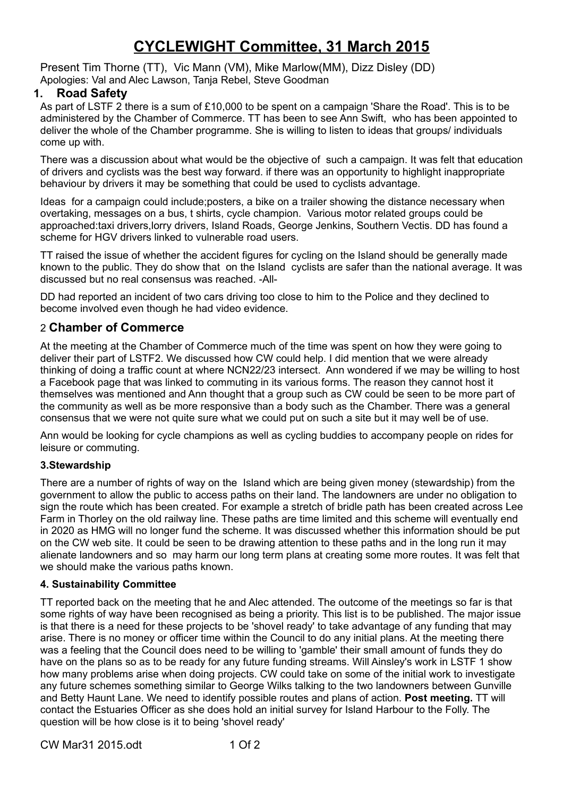# **CYCLEWIGHT Committee, 31 March 2015**

Present Tim Thorne (TT), Vic Mann (VM), Mike Marlow(MM), Dizz Disley (DD) Apologies: Val and Alec Lawson, Tanja Rebel, Steve Goodman

# **1. Road Safety**

As part of LSTF 2 there is a sum of £10,000 to be spent on a campaign 'Share the Road'. This is to be administered by the Chamber of Commerce. TT has been to see Ann Swift, who has been appointed to deliver the whole of the Chamber programme. She is willing to listen to ideas that groups/ individuals come up with.

There was a discussion about what would be the objective of such a campaign. It was felt that education of drivers and cyclists was the best way forward. if there was an opportunity to highlight inappropriate behaviour by drivers it may be something that could be used to cyclists advantage.

Ideas for a campaign could include;posters, a bike on a trailer showing the distance necessary when overtaking, messages on a bus, t shirts, cycle champion. Various motor related groups could be approached:taxi drivers,lorry drivers, Island Roads, George Jenkins, Southern Vectis. DD has found a scheme for HGV drivers linked to vulnerable road users.

TT raised the issue of whether the accident figures for cycling on the Island should be generally made known to the public. They do show that on the Island cyclists are safer than the national average. It was discussed but no real consensus was reached. -All-

DD had reported an incident of two cars driving too close to him to the Police and they declined to become involved even though he had video evidence.

# 2 **Chamber of Commerce**

At the meeting at the Chamber of Commerce much of the time was spent on how they were going to deliver their part of LSTF2. We discussed how CW could help. I did mention that we were already thinking of doing a traffic count at where NCN22/23 intersect. Ann wondered if we may be willing to host a Facebook page that was linked to commuting in its various forms. The reason they cannot host it themselves was mentioned and Ann thought that a group such as CW could be seen to be more part of the community as well as be more responsive than a body such as the Chamber. There was a general consensus that we were not quite sure what we could put on such a site but it may well be of use.

Ann would be looking for cycle champions as well as cycling buddies to accompany people on rides for leisure or commuting.

#### **3.Stewardship**

There are a number of rights of way on the Island which are being given money (stewardship) from the government to allow the public to access paths on their land. The landowners are under no obligation to sign the route which has been created. For example a stretch of bridle path has been created across Lee Farm in Thorley on the old railway line. These paths are time limited and this scheme will eventually end in 2020 as HMG will no longer fund the scheme. It was discussed whether this information should be put on the CW web site. It could be seen to be drawing attention to these paths and in the long run it may alienate landowners and so may harm our long term plans at creating some more routes. It was felt that we should make the various paths known.

#### **4. Sustainability Committee**

TT reported back on the meeting that he and Alec attended. The outcome of the meetings so far is that some rights of way have been recognised as being a priority. This list is to be published. The major issue is that there is a need for these projects to be 'shovel ready' to take advantage of any funding that may arise. There is no money or officer time within the Council to do any initial plans. At the meeting there was a feeling that the Council does need to be willing to 'gamble' their small amount of funds they do have on the plans so as to be ready for any future funding streams. Will Ainsley's work in LSTF 1 show how many problems arise when doing projects. CW could take on some of the initial work to investigate any future schemes something similar to George Wilks talking to the two landowners between Gunville and Betty Haunt Lane. We need to identify possible routes and plans of action. **Post meeting.** TT will contact the Estuaries Officer as she does hold an initial survey for Island Harbour to the Folly. The question will be how close is it to being 'shovel ready'